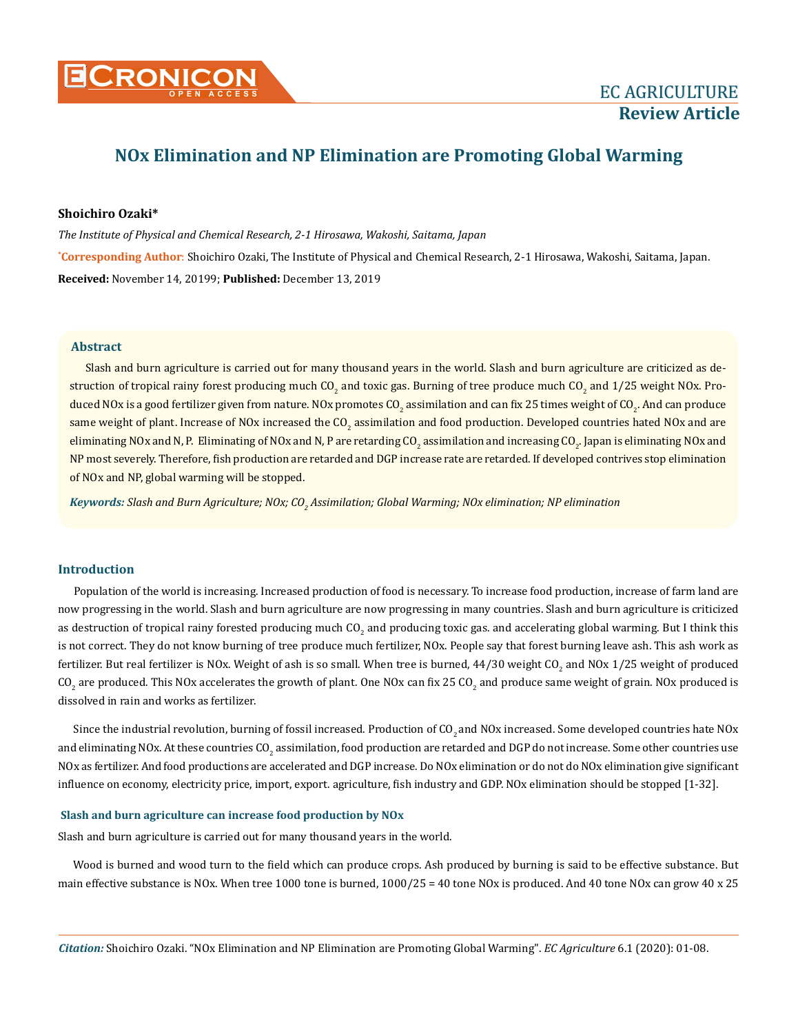# **NOx Elimination and NP Elimination are Promoting Global Warming**

# **Shoichiro Ozaki\***

**\* Corresponding Author**: Shoichiro Ozaki, The Institute of Physical and Chemical Research, 2-1 Hirosawa, Wakoshi, Saitama, Japan. **Received:** November 14, 20199; **Published:** December 13, 2019 *The Institute of Physical and Chemical Research, 2-1 Hirosawa, Wakoshi, Saitama, Japan* 

## **Abstract**

Slash and burn agriculture is carried out for many thousand years in the world. Slash and burn agriculture are criticized as destruction of tropical rainy forest producing much CO<sub>2</sub> and toxic gas. Burning of tree produce much CO<sub>2</sub> and 1/25 weight NOx. Produced NOx is a good fertilizer given from nature. NOx promotes CO<sub>2</sub> assimilation and can fix 25 times weight of CO<sub>2</sub>. And can produce same weight of plant. Increase of NOx increased the CO<sub>2</sub> assimilation and food production. Developed countries hated NOx and are eliminating NOx and N, P. Eliminating of NOx and N, P are retarding CO<sub>2</sub> assimilation and increasing CO<sub>2</sub>. Japan is eliminating NOx and NP most severely. Therefore, fish production are retarded and DGP increase rate are retarded. If developed contrives stop elimination of NOx and NP, global warming will be stopped.

Keywords: Slash and Burn Agriculture; NOx; CO<sub>2</sub> Assimilation; Global Warming; NOx elimination; NP elimination

# **Introduction**

Population of the world is increasing. Increased production of food is necessary. To increase food production, increase of farm land are now progressing in the world. Slash and burn agriculture are now progressing in many countries. Slash and burn agriculture is criticized as destruction of tropical rainy forested producing much CO<sub>2</sub> and producing toxic gas. and accelerating global warming. But I think this is not correct. They do not know burning of tree produce much fertilizer, NOx. People say that forest burning leave ash. This ash work as fertilizer. But real fertilizer is NOx. Weight of ash is so small. When tree is burned, 44/30 weight CO<sub>2</sub> and NOx 1/25 weight of produced CO<sub>2</sub> are produced. This NOx accelerates the growth of plant. One NOx can fix 25 CO<sub>2</sub> and produce same weight of grain. NOx produced is dissolved in rain and works as fertilizer.

Since the industrial revolution, burning of fossil increased. Production of  $CO$ , and NOx increased. Some developed countries hate NOx and eliminating NOx. At these countries CO $_2$  assimilation, food production are retarded and DGP do not increase. Some other countries use NOx as fertilizer. And food productions are accelerated and DGP increase. Do NOx elimination or do not do NOx elimination give significant influence on economy, electricity price, import, export. agriculture, fish industry and GDP. NOx elimination should be stopped [1-32].

## **Slash and burn agriculture can increase food production by NOx**

Slash and burn agriculture is carried out for many thousand years in the world.

Wood is burned and wood turn to the field which can produce crops. Ash produced by burning is said to be effective substance. But main effective substance is NOx. When tree 1000 tone is burned, 1000/25 = 40 tone NOx is produced. And 40 tone NOx can grow 40 x 25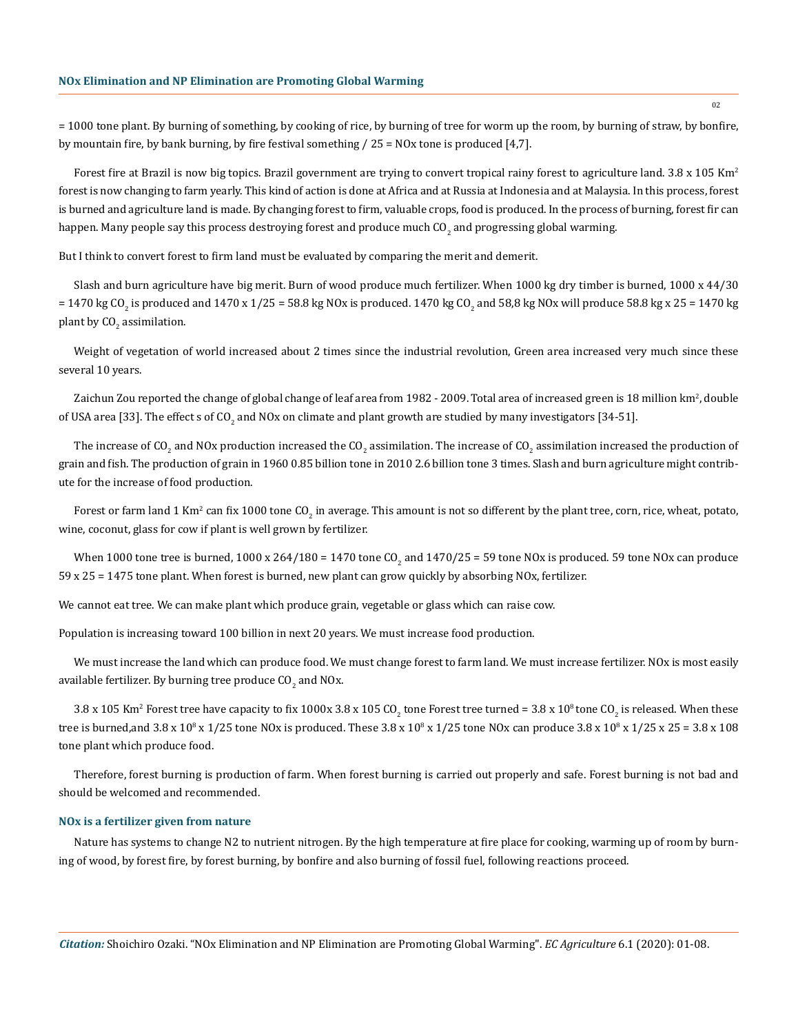= 1000 tone plant. By burning of something, by cooking of rice, by burning of tree for worm up the room, by burning of straw, by bonfire, by mountain fire, by bank burning, by fire festival something / 25 = NOx tone is produced [4,7].

Forest fire at Brazil is now big topics. Brazil government are trying to convert tropical rainy forest to agriculture land. 3.8 x 105 Km<sup>2</sup> forest is now changing to farm yearly. This kind of action is done at Africa and at Russia at Indonesia and at Malaysia. In this process, forest is burned and agriculture land is made. By changing forest to firm, valuable crops, food is produced. In the process of burning, forest fir can happen. Many people say this process destroying forest and produce much CO $_2$  and progressing global warming.

But I think to convert forest to firm land must be evaluated by comparing the merit and demerit.

Slash and burn agriculture have big merit. Burn of wood produce much fertilizer. When 1000 kg dry timber is burned, 1000 x 44/30 = 1470 kg CO<sub>2</sub> is produced and 1470 x 1725 = 58.8 kg NOx is produced. 1470 kg CO<sub>2</sub> and 58,8 kg NOx will produce 58.8 kg x 25 = 1470 kg plant by  $\text{CO}_2$  assimilation.

Weight of vegetation of world increased about 2 times since the industrial revolution, Green area increased very much since these several 10 years.

Zaichun Zou reported the change of global change of leaf area from 1982 - 2009. Total area of increased green is 18 million km², double of USA area [33]. The effect  $s$  of CO $_2$  and NOx on climate and plant growth are studied by many investigators [34-51].

The increase of CO<sub>2</sub> and NOx production increased the CO<sub>2</sub> assimilation. The increase of CO<sub>2</sub> assimilation increased the production of grain and fish. The production of grain in 1960 0.85 billion tone in 2010 2.6 billion tone 3 times. Slash and burn agriculture might contribute for the increase of food production.

Forest or farm land 1 Km² can fix 1000 tone CO<sub>2</sub> in average. This amount is not so different by the plant tree, corn, rice, wheat, potato, wine, coconut, glass for cow if plant is well grown by fertilizer.

When 1000 tone tree is burned, 1000 x 264/180 = 1470 tone CO<sub>2</sub> and 1470/25 = 59 tone NOx is produced. 59 tone NOx can produce 59 x 25 = 1475 tone plant. When forest is burned, new plant can grow quickly by absorbing NOx, fertilizer.

We cannot eat tree. We can make plant which produce grain, vegetable or glass which can raise cow.

Population is increasing toward 100 billion in next 20 years. We must increase food production.

We must increase the land which can produce food. We must change forest to farm land. We must increase fertilizer. NOx is most easily available fertilizer. By burning tree produce  $\rm CO_{2}$  and NOx.

3.8 x 105 Km² Forest tree have capacity to fix 1000x 3.8 x 105 CO<sub>2</sub> tone Forest tree turned = 3.8 x 10<sup>8</sup> tone CO<sub>2</sub> is released. When these tree is burned,and  $3.8 \times 10^8 \times 1/25$  tone NOx is produced. These  $3.8 \times 10^8 \times 1/25$  tone NOx can produce  $3.8 \times 10^8 \times 1/25 \times 25 = 3.8 \times 108$ tone plant which produce food.

Therefore, forest burning is production of farm. When forest burning is carried out properly and safe. Forest burning is not bad and should be welcomed and recommended.

## **NOx is a fertilizer given from nature**

Nature has systems to change N2 to nutrient nitrogen. By the high temperature at fire place for cooking, warming up of room by burning of wood, by forest fire, by forest burning, by bonfire and also burning of fossil fuel, following reactions proceed.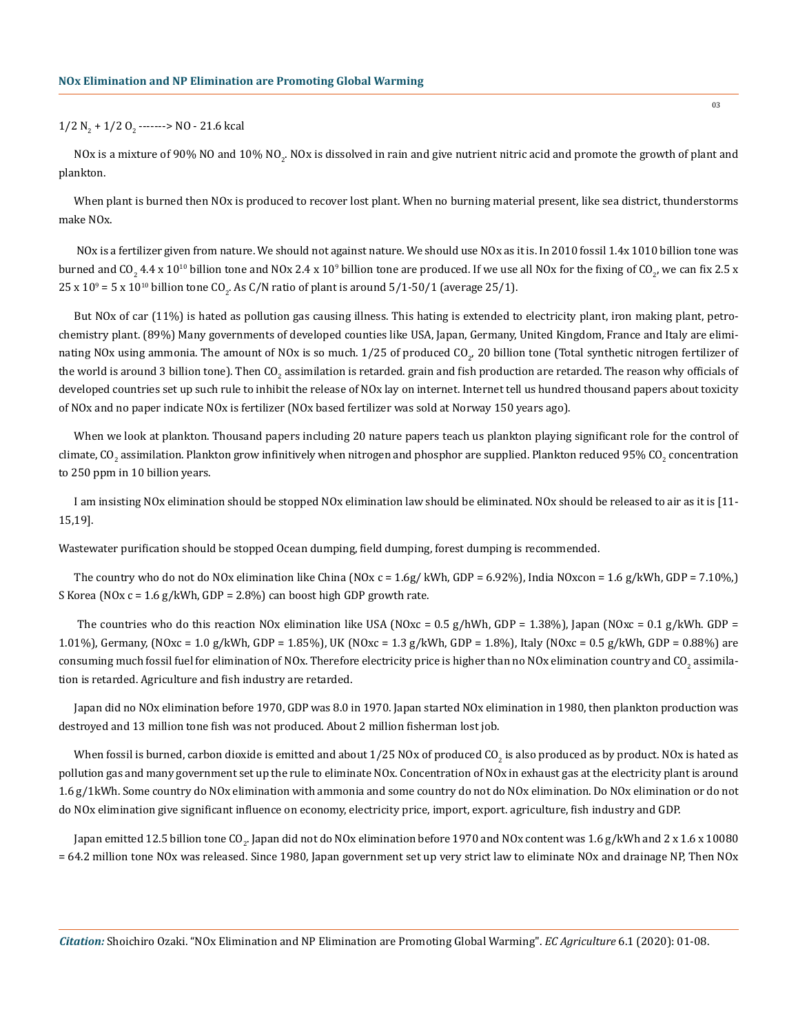$1/2$  N<sub>2</sub> +  $1/2$  O<sub>2</sub> -------> NO - 21.6 kcal

NOx is a mixture of 90% NO and 10% NO<sub>2</sub>. NOx is dissolved in rain and give nutrient nitric acid and promote the growth of plant and plankton.

When plant is burned then NOx is produced to recover lost plant. When no burning material present, like sea district, thunderstorms make NOx.

NOx is a fertilizer given from nature. We should not against nature. We should use NOx as it is. In 2010 fossil 1.4x 1010 billion tone was burned and CO<sub>2</sub> 4.4 x 10<sup>10</sup> billion tone and NOx 2.4 x 10° billion tone are produced. If we use all NOx for the fixing of CO<sub>2</sub>, we can fix 2.5 x 25 x 10° = 5 x 10 $^{\rm 10}$  billion tone CO<sub>2</sub>. As C/N ratio of plant is around 5/1-50/1 (average 25/1).

But NOx of car (11%) is hated as pollution gas causing illness. This hating is extended to electricity plant, iron making plant, petrochemistry plant. (89%) Many governments of developed counties like USA, Japan, Germany, United Kingdom, France and Italy are eliminating NOx using ammonia. The amount of NOx is so much.  $1/25$  of produced CO<sub>2</sub>, 20 billion tone (Total synthetic nitrogen fertilizer of the world is around 3 billion tone). Then CO<sub>2</sub> assimilation is retarded. grain and fish production are retarded. The reason why officials of developed countries set up such rule to inhibit the release of NOx lay on internet. Internet tell us hundred thousand papers about toxicity of NOx and no paper indicate NOx is fertilizer (NOx based fertilizer was sold at Norway 150 years ago).

When we look at plankton. Thousand papers including 20 nature papers teach us plankton playing significant role for the control of climate, CO<sub>2</sub> assimilation. Plankton grow infinitively when nitrogen and phosphor are supplied. Plankton reduced 95% CO<sub>2</sub> concentration to 250 ppm in 10 billion years.

I am insisting NOx elimination should be stopped NOx elimination law should be eliminated. NOx should be released to air as it is [11- 15,19].

Wastewater purification should be stopped Ocean dumping, field dumping, forest dumping is recommended.

The country who do not do NOx elimination like China (NOx c = 1.6g/ kWh, GDP = 6.92%), India NOxcon = 1.6 g/kWh, GDP = 7.10%,) S Korea (NOx  $c = 1.6$  g/kWh, GDP = 2.8%) can boost high GDP growth rate.

The countries who do this reaction NOx elimination like USA (NOxc =  $0.5$  g/hWh, GDP =  $1.38\%$ ), Japan (NOxc =  $0.1$  g/kWh. GDP = 1.01%), Germany, (NOxc = 1.0 g/kWh, GDP = 1.85%), UK (NOxc = 1.3 g/kWh, GDP = 1.8%), Italy (NOxc = 0.5 g/kWh, GDP = 0.88%) are consuming much fossil fuel for elimination of NOx. Therefore electricity price is higher than no NOx elimination country and CO<sub>2</sub> assimilation is retarded. Agriculture and fish industry are retarded.

Japan did no NOx elimination before 1970, GDP was 8.0 in 1970. Japan started NOx elimination in 1980, then plankton production was destroyed and 13 million tone fish was not produced. About 2 million fisherman lost job.

When fossil is burned, carbon dioxide is emitted and about 1/25 NOx of produced CO<sub>2</sub> is also produced as by product. NOx is hated as pollution gas and many government set up the rule to eliminate NOx. Concentration of NOx in exhaust gas at the electricity plant is around 1.6 g/1kWh. Some country do NOx elimination with ammonia and some country do not do NOx elimination. Do NOx elimination or do not do NOx elimination give significant influence on economy, electricity price, import, export. agriculture, fish industry and GDP.

Japan emitted 12.5 billion tone CO<sub>2</sub>. Japan did not do NOx elimination before 1970 and NOx content was 1.6 g/kWh and 2 x 1.6 x 10080  $\,$ = 64.2 million tone NOx was released. Since 1980, Japan government set up very strict law to eliminate NOx and drainage NP, Then NOx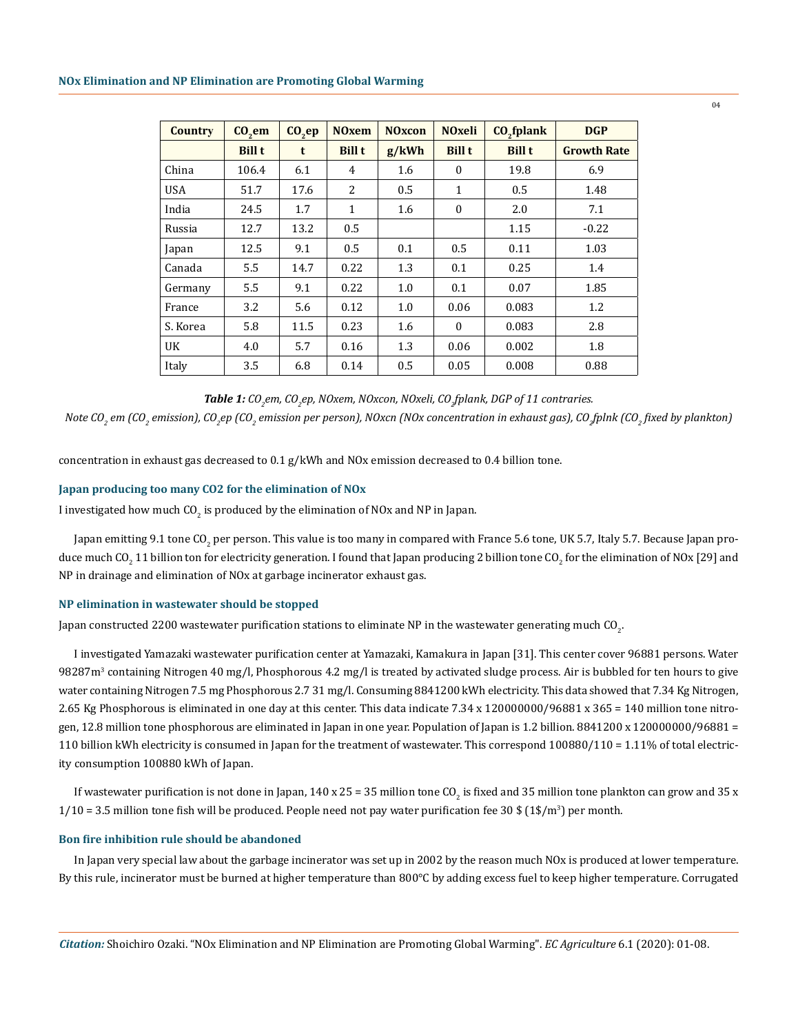| Country    | $CO2$ em      | CO,ep | <b>NOxem</b>  | <b>NOxcon</b> | <b>NOxeli</b> | CO <sub>2</sub> fplank | <b>DGP</b>         |
|------------|---------------|-------|---------------|---------------|---------------|------------------------|--------------------|
|            | <b>Bill t</b> | t     | <b>Bill t</b> | g/kWh         | <b>Bill t</b> | <b>Bill t</b>          | <b>Growth Rate</b> |
| China      | 106.4         | 6.1   | 4             | 1.6           | $\Omega$      | 19.8                   | 6.9                |
| <b>USA</b> | 51.7          | 17.6  | 2             | 0.5           | 1             | 0.5                    | 1.48               |
| India      | 24.5          | 1.7   | $\mathbf{1}$  | 1.6           | $\Omega$      | 2.0                    | 7.1                |
| Russia     | 12.7          | 13.2  | 0.5           |               |               | 1.15                   | $-0.22$            |
| Japan      | 12.5          | 9.1   | 0.5           | 0.1           | 0.5           | 0.11                   | 1.03               |
| Canada     | 5.5           | 14.7  | 0.22          | 1.3           | 0.1           | 0.25                   | 1.4                |
| Germany    | 5.5           | 9.1   | 0.22          | 1.0           | 0.1           | 0.07                   | 1.85               |
| France     | 3.2           | 5.6   | 0.12          | 1.0           | 0.06          | 0.083                  | 1.2                |
| S. Korea   | 5.8           | 11.5  | 0.23          | 1.6           | $\Omega$      | 0.083                  | 2.8                |
| UK         | 4.0           | 5.7   | 0.16          | 1.3           | 0.06          | 0.002                  | 1.8                |
| Italy      | 3.5           | 6.8   | 0.14          | 0.5           | 0.05          | 0.008                  | 0.88               |

 $\bm{\textit{Table 1:}}~\textit{CO}_2$ em, CO<sub>2</sub>ep, NOxem, NOxcon, NOxeli, CO<sub>2</sub>fplank, DGP of 11 contraries.

 $N$ ote CO<sub>2</sub> em (CO<sub>2</sub> emission), CO<sub>2</sub>ep (CO<sub>2</sub> emission per person), NOxcn (NOx concentration in exhaust gas), CO<sub>2</sub>fplnk (CO<sub>2</sub> fixed by plankton)

concentration in exhaust gas decreased to 0.1 g/kWh and NOx emission decreased to 0.4 billion tone.

## **Japan producing too many CO2 for the elimination of NOx**

I investigated how much CO<sub>2</sub> is produced by the elimination of NOx and NP in Japan.

Japan emitting 9.1 tone CO<sub>2</sub> per person. This value is too many in compared with France 5.6 tone, UK 5.7, Italy 5.7. Because Japan produce much CO $_2$  11 billion ton for electricity generation. I found that Japan producing 2 billion tone CO $_2$  for the elimination of NOx [29] and NP in drainage and elimination of NOx at garbage incinerator exhaust gas.

## **NP elimination in wastewater should be stopped**

Japan constructed 2200 wastewater purification stations to eliminate NP in the wastewater generating much CO<sub>2</sub>.

I investigated Yamazaki wastewater purification center at Yamazaki, Kamakura in Japan [31]. This center cover 96881 persons. Water 98287m<sup>3</sup> containing Nitrogen 40 mg/l, Phosphorous 4.2 mg/l is treated by activated sludge process. Air is bubbled for ten hours to give water containing Nitrogen 7.5 mg Phosphorous 2.7 31 mg/l. Consuming 8841200 kWh electricity. This data showed that 7.34 Kg Nitrogen, 2.65 Kg Phosphorous is eliminated in one day at this center. This data indicate 7.34 x 120000000/96881 x 365 = 140 million tone nitrogen, 12.8 million tone phosphorous are eliminated in Japan in one year. Population of Japan is 1.2 billion. 8841200 x 120000000/96881 = 110 billion kWh electricity is consumed in Japan for the treatment of wastewater. This correspond 100880/110 = 1.11% of total electricity consumption 100880 kWh of Japan.

If wastewater purification is not done in Japan, 140 x 25 = 35 million tone CO<sub>2</sub> is fixed and 35 million tone plankton can grow and 35 x  $1/10$  = 3.5 million tone fish will be produced. People need not pay water purification fee  $30\ \text{\$}$  ( $1\ \text{\$}/\text{m}^3$ ) per month.

# **Bon fire inhibition rule should be abandoned**

In Japan very special law about the garbage incinerator was set up in 2002 by the reason much NOx is produced at lower temperature. By this rule, incinerator must be burned at higher temperature than 800°C by adding excess fuel to keep higher temperature. Corrugated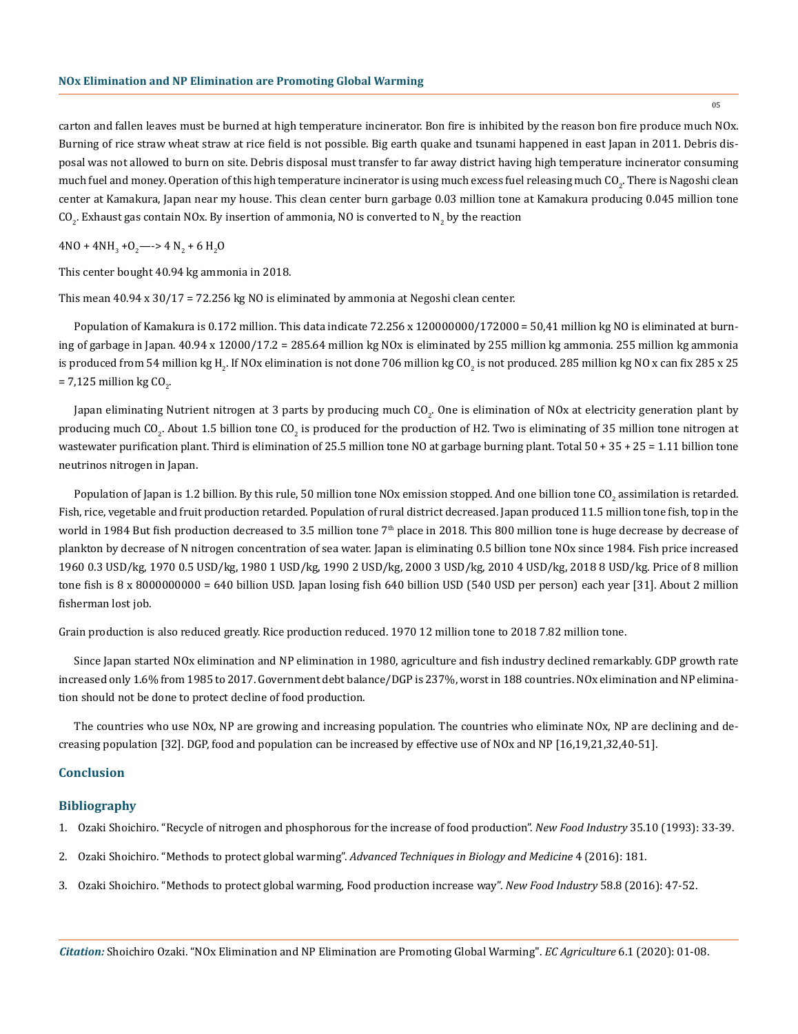carton and fallen leaves must be burned at high temperature incinerator. Bon fire is inhibited by the reason bon fire produce much NOx. Burning of rice straw wheat straw at rice field is not possible. Big earth quake and tsunami happened in east Japan in 2011. Debris disposal was not allowed to burn on site. Debris disposal must transfer to far away district having high temperature incinerator consuming much fuel and money. Operation of this high temperature incinerator is using much excess fuel releasing much CO<sub>2</sub>. There is Nagoshi clean center at Kamakura, Japan near my house. This clean center burn garbage 0.03 million tone at Kamakura producing 0.045 million tone CO $_2$ . Exhaust gas contain NOx. By insertion of ammonia, NO is converted to N $_2$  by the reaction

 $4NO + 4NH_3 + O_2 \rightarrow 4 N_2 + 6 H_2 O$ 

This center bought 40.94 kg ammonia in 2018.

This mean  $40.94 \times 30/17 = 72.256$  kg NO is eliminated by ammonia at Negoshi clean center.

Population of Kamakura is 0.172 million. This data indicate 72.256 x 12000000/172000 = 50,41 million kg NO is eliminated at burning of garbage in Japan. 40.94 x 12000/17.2 = 285.64 million kg NOx is eliminated by 255 million kg ammonia. 255 million kg ammonia is produced from 54 million kg H<sub>2</sub>. If NOx elimination is not done 706 million kg CO<sub>2</sub> is not produced. 285 million kg NO x can fix 285 x 25 = 7,125 million kg CO<sub>2</sub>.

Japan eliminating Nutrient nitrogen at 3 parts by producing much CO<sub>2</sub>. One is elimination of NOx at electricity generation plant by producing much CO<sub>2</sub>. About 1.5 billion tone CO<sub>2</sub> is produced for the production of H2. Two is eliminating of 35 million tone nitrogen at wastewater purification plant. Third is elimination of 25.5 million tone NO at garbage burning plant. Total 50 + 35 + 25 = 1.11 billion tone neutrinos nitrogen in Japan.

Population of Japan is 1.2 billion. By this rule, 50 million tone NOx emission stopped. And one billion tone CO $_2$  assimilation is retarded. Fish, rice, vegetable and fruit production retarded. Population of rural district decreased. Japan produced 11.5 million tone fish, top in the world in 1984 But fish production decreased to 3.5 million tone 7<sup>th</sup> place in 2018. This 800 million tone is huge decrease by decrease of plankton by decrease of N nitrogen concentration of sea water. Japan is eliminating 0.5 billion tone NOx since 1984. Fish price increased 1960 0.3 USD/kg, 1970 0.5 USD/kg, 1980 1 USD/kg, 1990 2 USD/kg, 2000 3 USD/kg, 2010 4 USD/kg, 2018 8 USD/kg. Price of 8 million tone fish is  $8 \times 8000000000 = 640$  billion USD. Japan losing fish 640 billion USD (540 USD per person) each year [31]. About 2 million fisherman lost job.

Grain production is also reduced greatly. Rice production reduced. 1970 12 million tone to 2018 7.82 million tone.

Since Japan started NOx elimination and NP elimination in 1980, agriculture and fish industry declined remarkably. GDP growth rate increased only 1.6% from 1985 to 2017. Government debt balance/DGP is 237%, worst in 188 countries. NOx elimination and NP elimination should not be done to protect decline of food production.

The countries who use NOx, NP are growing and increasing population. The countries who eliminate NOx, NP are declining and decreasing population [32]. DGP, food and population can be increased by effective use of NOx and NP [16,19,21,32,40-51].

# **Conclusion**

## **Bibliography**

- 1. Ozaki Shoichiro. "Recycle of nitrogen and phosphorous for the increase of food production". *New Food Industry* 35.10 (1993): 33-39.
- 2. Ozaki Shoichiro. "Methods to protect global warming". *Advanced Techniques in Biology and Medicine* 4 (2016): 181.
- 3. Ozaki Shoichiro. "Methods to protect global warming, Food production increase way". *New Food Industry* 58.8 (2016): 47-52.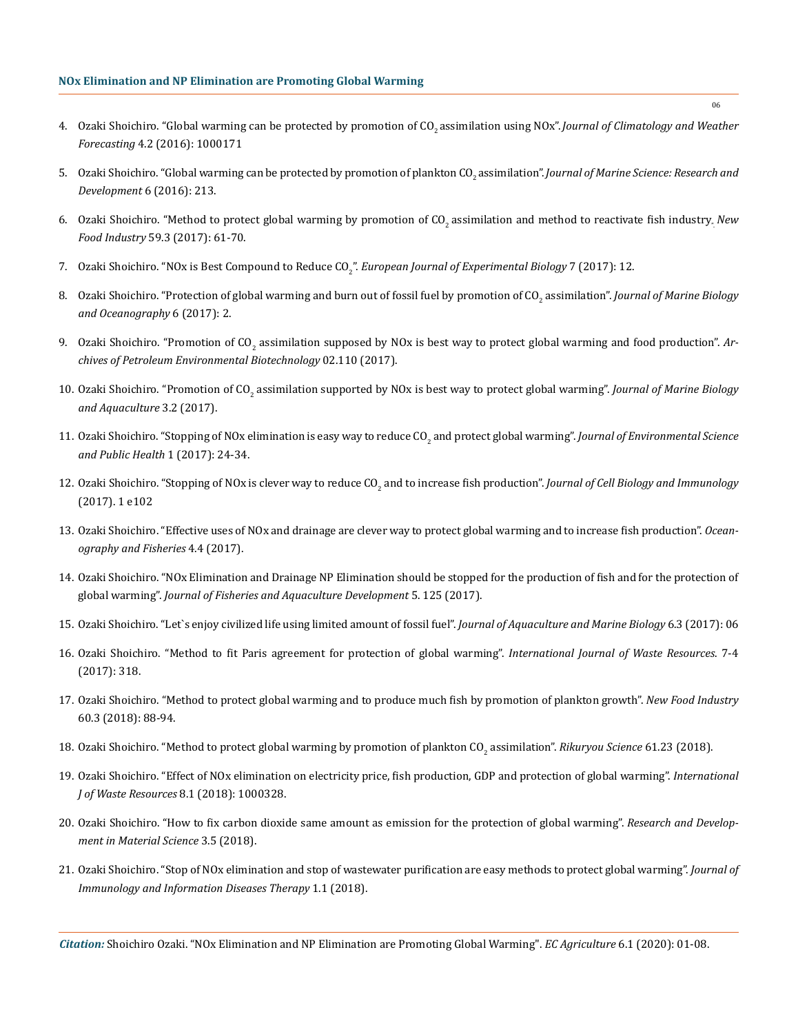#### **NOx Elimination and NP Elimination are Promoting Global Warming**

- 4. Ozaki Shoichiro. "Global warming can be protected by promotion of CO<sub>2</sub> assimilation using NOx".*Journal of Climatology and Weather Forecasting* [4.2 \(2016\): 1000171](https://www.researchgate.net/publication/309218595_Global_Warming_Can_Be_Protected_by_Promotion_of_CO2_Assimilation_Using_NOx)
- 5. Ozaki Shoichiro. "Global warming can be protected by promotion of plankton CO<sub>2</sub> assimilation".*Journal of Marine Science: Research and [Development](https://www.researchgate.net/publication/311957442_Global_Warming_can_be_Protected_by_Promotion_of_Plankton_CO2_Assimilation)* 6 (2016): 213.
- 6. Ozaki Shoichiro. "Method to protect global warming by promotion of CO<sub>2</sub> assimilation and method to reactivate fish industry. *New Food Industry* [59.3 \(2017\): 61-70.](https://www.researchgate.net/publication/329122322_Promotion_of_CO2_Assimilation_Supposed_by_NOx_is_Best_Way_to_Protect_Global_Warming)
- 7. Ozaki Shoichiro. "NOx is Best Compound to Reduce CO<sub>2</sub>". *European Journal of Experimental Biology 7 (2017): 12.*
- 8. Ozaki Shoichiro. "Protection of global warming and burn out of fossil fuel by promotion of CO<sub>2</sub> assimilation". *Journal of Marine Biology [and Oceanography](https://www.scitechnol.com/peer-review/protection-of-global-warming-and-burn-out-of-fossil-fuel-by-promotion-of-co2-assimilation-AJVn.php?article_id=6454)* 6 (2017): 2.
- 9. Ozaki Shoichiro. "Promotion of CO<sub>2</sub> [assimilation supposed by NOx is best way to protect global warming and food production".](https://www.gavinpublishers.com/articles/Review-Article/Archives-of-Petroleum-Environmental-Biotechnology-ISSN-2574-7614/promotion-of-co2-assimilation-supposed-by-NOx-is-best-way-to-protect-global-warming-and-food-product) *Ar[chives of Petroleum Environmental Biotechnology](https://www.gavinpublishers.com/articles/Review-Article/Archives-of-Petroleum-Environmental-Biotechnology-ISSN-2574-7614/promotion-of-co2-assimilation-supposed-by-NOx-is-best-way-to-protect-global-warming-and-food-product)* 02.110 (2017).
- 10. Ozaki Shoichiro. "Promotion of CO<sub>2</sub> [assimilation supported by NOx is best way to protect global warming".](https://www.researchgate.net/publication/329122322_Promotion_of_CO2_Assimilation_Supposed_by_NOx_is_Best_Way_to_Protect_Global_Warming) *Journal of Marine Biology [and Aquaculture](https://www.researchgate.net/publication/329122322_Promotion_of_CO2_Assimilation_Supposed_by_NOx_is_Best_Way_to_Protect_Global_Warming)* 3.2 (2017).
- 11. Ozaki Shoichiro. "Stopping of NOx elimination is easy way to reduce CO<sub>2</sub> and protect global warming". *Journal of Environmental Science [and Public Health](http://www.fortunejournals.com/articles/stopping-of-nox-elimination-is-easy-way-to-reduce-co2-and-protect-global-warming.pdf)* 1 (2017): 24-34.
- 12. Ozaki Shoichiro. "Stopping of NOx is clever way to reduce  $\rm{CO}_{2}$  and to increase fish production". *Journal of Cell Biology and Immunology* [\(2017\). 1 e102](https://www.omicsonline.org/open-access/stopping-of-nox-elimination-is-clever-way-to-reduce-co2-and-to-increasefish-production.php?aid=93426)
- 13. [Ozaki Shoichiro. "Effective uses of NOx and drainage are clever way to protect global warming and to increase fish production".](https://www.researchgate.net/publication/332314387_The_Effect_of_increase_of_NOx_and_CO2_on_Grain_and_Fish_Production_Protection_of_Global_Warming_and_Climate) *Ocean[ography and Fisheries](https://www.researchgate.net/publication/332314387_The_Effect_of_increase_of_NOx_and_CO2_on_Grain_and_Fish_Production_Protection_of_Global_Warming_and_Climate)* 4.4 (2017).
- 14. [Ozaki Shoichiro. "NOx Elimination and Drainage NP Elimination should be stopped for the production of fish and for the protection of](https://www.gavinpublishers.com/articles/review-article/Journal-of-Fisheries-and-Aquaculture-Development-ISSN-2577-1493/nox-elimination-and-drainage-np-elimination-should-be-stopped-for-the-production-of-fish-and-for-the-protection-of-global-warming) global warming". *[Journal of Fisheries and Aquaculture Development](https://www.gavinpublishers.com/articles/review-article/Journal-of-Fisheries-and-Aquaculture-Development-ISSN-2577-1493/nox-elimination-and-drainage-np-elimination-should-be-stopped-for-the-production-of-fish-and-for-the-protection-of-global-warming)* 5. 125 (2017).
- 15. Ozaki Shoichiro. "Let`s enjoy civilized life using limited amount of fossil fuel". *Journal of Aquaculture and Marine Biology* 6.3 (2017): 06
- 16. [Ozaki Shoichiro. "Method to fit Paris agreement for protection of global warming".](https://www.longdom.org/abstract/method-to-fit-paris-agreement-for-protection-of-global-warming-31374.html) *International Journal of Waste Resources*. 7-4 [\(2017\): 318.](https://www.longdom.org/abstract/method-to-fit-paris-agreement-for-protection-of-global-warming-31374.html)
- 17. Ozaki Shoichiro. "Method to protect global warming and to produce much fish by promotion of plankton growth". *New Food Industry* 60.3 (2018): 88-94.
- 18. Ozaki Shoichiro. "Method to protect global warming by promotion of plankton CO<sub>2</sub> assimilation". *Rikuryou Science* 61.23 (2018).
- 19. [Ozaki Shoichiro. "Effect of NOx elimination on electricity price, fish production, GDP and protection of global warming".](https://www.longdom.org/open-access/effect-of-nox-elimination-on-electricity-price-fish-production-gdp-andprotection-of-global-warming-2252-5211-1000328.pdf) *International [J of Waste Resources](https://www.longdom.org/open-access/effect-of-nox-elimination-on-electricity-price-fish-production-gdp-andprotection-of-global-warming-2252-5211-1000328.pdf)* 8.1 (2018): 1000328.
- 20. Ozaki Shoichiro. "How to fix carbon dioxide same amount as emission for the protection of global warming". *Research and Development in Material Science* 3.5 (2018).
- 21. Ozaki Shoichiro. "Stop of NOx elimination and stop of wastewater purification are easy methods to protect global warming". *Journal of Immunology and Information Diseases Therapy* 1.1 (2018).

*Citation:* Shoichiro Ozaki. "NOx Elimination and NP Elimination are Promoting Global Warming". *EC Agriculture* 6.1 (2020): 01-08.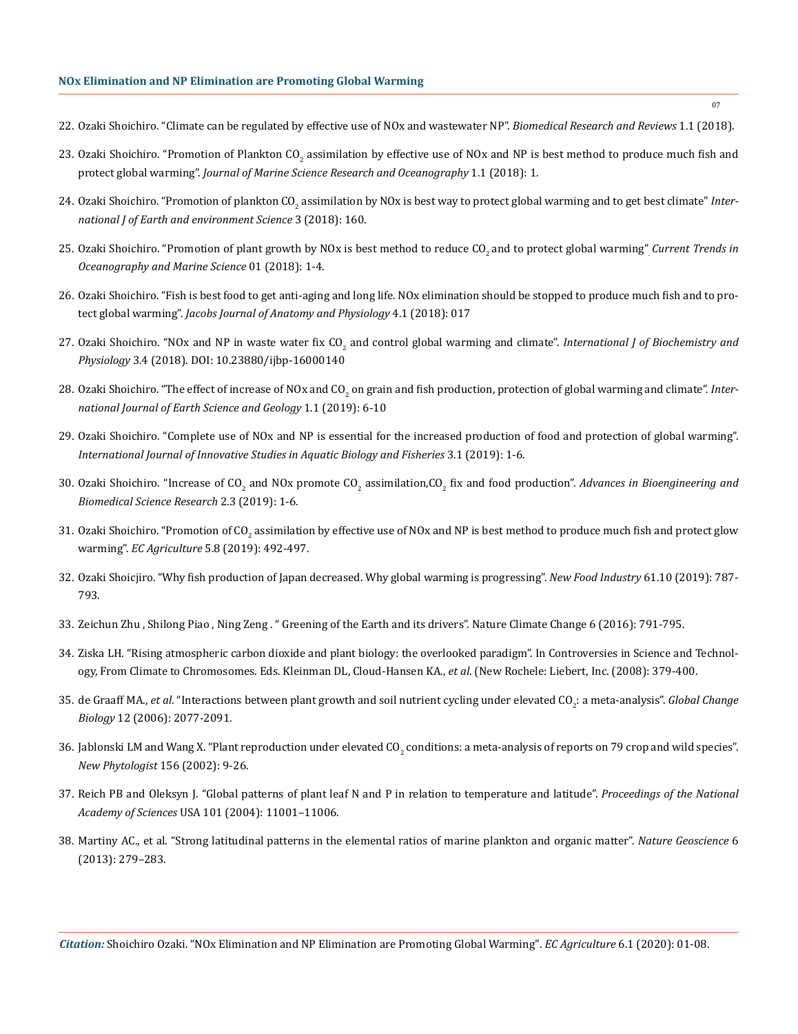## **NOx Elimination and NP Elimination are Promoting Global Warming**

- 22. Ozaki Shoichiro. "Climate can be regulated by effective use of NOx and wastewater NP". *Biomedical Research and Reviews* 1.1 (2018).
- 23. Ozaki Shoichiro. "Promotion of Plankton CO<sub>2</sub> assimilation by effective use of NOx and NP is best method to produce much fish and protect global warming". *[Journal of Marine Science Research and Oceanography](https://opastonline.com/wp-content/uploads/2018/07/promotion-of-plankton-co2-assimilation-by-effective-use-of-nox-and-np-is-best-method-to-produce-much-fish-and-protect-global-warming-jmsro-18.pdf)* 1.1 (2018): 1.
- 24. Ozaki Shoichiro. "Promotion of plankton CO<sub>2</sub> [assimilation by NOx is best way to protect global warming and to get best climate"](https://www.researchgate.net/publication/332459252_Promotion_of_Plankton_CO2_Assimilation_by_NOx_is_Best_Way_to_Protect_Global_Warming_and_to_Get_Best_Climate) *Inter[national J of Earth and environment Science](https://www.researchgate.net/publication/332459252_Promotion_of_Plankton_CO2_Assimilation_by_NOx_is_Best_Way_to_Protect_Global_Warming_and_to_Get_Best_Climate)* 3 (2018): 160.
- 25. Ozaki Shoichiro. "Promotion of plant growth by NOx is best method to reduce CO<sub>2</sub> and to protect global warming" *Current Trends in [Oceanography and Marine Science](https://www.gavinpublishers.com/articles/Review-Article/Current-Trends-in-Oceanography-and-Marine-Sciences/promotion-of-plant-growth-by-nox-is-best-method-to-reduce-co2-and-to-protect-global-warming)* 01 (2018): 1-4.
- 26. [Ozaki Shoichiro. "Fish is best food to get anti-aging and long life. NOx elimination should be stopped to produce much fish and to pro](https://jacobspublishers.com/journals/jacobs-journal-of-anatomy-and-physiology/fulltext/fish-is-best-food-to-get-anti-aging-and-long-life-nox-elimination-should-be-stopped-to-produce-much-fish-and-to-protect-global-warming)tect global warming". *[Jacobs Journal of Anatomy and Physiology](https://jacobspublishers.com/journals/jacobs-journal-of-anatomy-and-physiology/fulltext/fish-is-best-food-to-get-anti-aging-and-long-life-nox-elimination-should-be-stopped-to-produce-much-fish-and-to-protect-global-warming)* 4.1 (2018): 017
- 27. [Ozaki Shoichiro. "NOx and NP in waste water fix CO](https://medwinpublishers.com/IJBP/volume.php?volumeId=118&issueId=509)<sub>2</sub> and control global warming and climate". *International J of Biochemistry and Physiology* [3.4 \(2018\). DOI: 10.23880/ijbp-16000140](https://medwinpublishers.com/IJBP/volume.php?volumeId=118&issueId=509)
- 28. Ozaki Shoichiro. "The effect of increase of NOx and CO<sub>2</sub> [on grain and fish production, protection of global warming and climate".](https://www.researchgate.net/publication/332314387_The_Effect_of_increase_of_NOx_and_CO2_on_Grain_and_Fish_Production_Protection_of_Global_Warming_and_Climate) *Inter[national Journal of Earth Science and Geology](https://www.researchgate.net/publication/332314387_The_Effect_of_increase_of_NOx_and_CO2_on_Grain_and_Fish_Production_Protection_of_Global_Warming_and_Climate)* 1.1 (2019): 6-10
- 29. [Ozaki Shoichiro. "Complete use of NOx and NP is essential for the increased production of food and protection of global warming".](https://www.semanticscholar.org/paper/Complete-use-of-NOx-and-NP-is-Essential-for-the-of-Ozaki/e5e017d2ebcf17ac728cb7c29ca36efef7d4f187)  *[International Journal of Innovative Studies in Aquatic Biology and Fisheries](https://www.semanticscholar.org/paper/Complete-use-of-NOx-and-NP-is-Essential-for-the-of-Ozaki/e5e017d2ebcf17ac728cb7c29ca36efef7d4f187)* 3.1 (2019): 1-6.
- 30. Ozaki Shoichiro. "Increase of CO<sub>2</sub> and NOx promote CO<sub>2</sub> assimilation,CO<sub>2</sub> fix and food production". *Advances in Bioengineering and [Biomedical Science Research](https://www.opastonline.com/wp-content/uploads/2019/05/increase-of-co2-and-nox-promote-co2-assimilation-co2-fix-and-food-production-abbsr-19.pdf)* 2.3 (2019): 1-6.
- 31. Uzaki Shoichiro. "Promotion of CO<sub>2</sub> assimilation by effective use of NOx and NP is best method to produce much fish and protect glow warming". *EC Agriculture* [5.8 \(2019\): 492-497.](https://www.ecronicon.com/ecag/pdf/ECAG-05-00179.pdf)
- 32. Ozaki Shoicjiro. "Why fish production of Japan decreased. Why global warming is progressing". *New Food Industry* 61.10 (2019): 787- 793.
- 33. [Zeichun Zhu , Shilong Piao , Ning Zeng . " Greening of the Earth and its drivers". Nature Climate Change 6 \(2016\): 791-795.](https://www.nature.com/articles/nclimate3004)
- 34. [Ziska LH. "Rising atmospheric carbon dioxide and plant biology: the overlooked paradigm". In Controversies in Science and Technol](https://www.liebertpub.com/doi/10.1089/dna.2007.0726)[ogy, From Climate to Chromosomes. Eds. Kleinman DL, Cloud-Hansen KA.,](https://www.liebertpub.com/doi/10.1089/dna.2007.0726) *et al*. (New Rochele: Liebert, Inc. (2008): 379-400.
- 35. de Graaff MA., *et al*. "Interactions between plant growth and soil nutrient cycling under elevated CO<sub>2</sub>: a meta-analysis". *Global Change Biology* [12 \(2006\): 2077-2091.](https://onlinelibrary.wiley.com/doi/10.1111/j.1365-2486.2006.01240.x)
- 36. Jablonski LM and Wang X. "Plant reproduction under elevated CO<sub>2</sub> [conditions: a meta-analysis of reports on 79 crop and wild species".](https://www.researchgate.net/publication/229786118_Plant_reproduction_under_elevated_CO2_conditions_A_meta-analysis_of_reports_on_79_crop_and_wild_species) *[New Phytologist](https://www.researchgate.net/publication/229786118_Plant_reproduction_under_elevated_CO2_conditions_A_meta-analysis_of_reports_on_79_crop_and_wild_species)* 156 (2002): 9-26.
- 37. [Reich PB and Oleksyn J. "Global patterns of plant leaf N and P in relation to temperature and latitude".](https://www.pnas.org/content/101/30/11001) *Proceedings of the National Academy of Sciences* [USA 101 \(2004\): 11001–11006.](https://www.pnas.org/content/101/30/11001)
- 38. [Martiny AC., et al. "Strong latitudinal patterns in the elemental ratios of marine plankton and organic matter".](https://www.nature.com/articles/ngeo1757) *Nature Geoscience* 6 [\(2013\): 279–283.](https://www.nature.com/articles/ngeo1757)